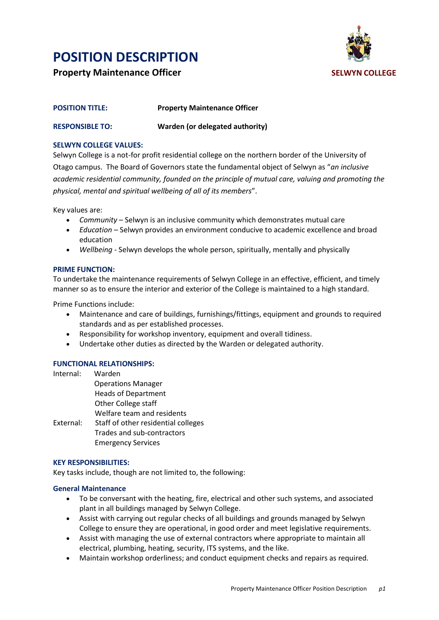**Property Maintenance Officer SELWYN COLLEGE**



| <b>POSITION TITLE:</b> | <b>Property Maintenance Officer</b> |
|------------------------|-------------------------------------|
| <b>RESPONSIBLE TO:</b> | Warden (or delegated authority)     |

#### **SELWYN COLLEGE VALUES:**

Selwyn College is a not-for profit residential college on the northern border of the University of Otago campus. The Board of Governors state the fundamental object of Selwyn as "*an inclusive academic residential community, founded on the principle of mutual care, valuing and promoting the physical, mental and spiritual wellbeing of all of its members*".

Key values are:

- *Community* Selwyn is an inclusive community which demonstrates mutual care
- *Education –* Selwyn provides an environment conducive to academic excellence and broad education
- *Wellbeing* Selwyn develops the whole person, spiritually, mentally and physically

#### **PRIME FUNCTION:**

To undertake the maintenance requirements of Selwyn College in an effective, efficient, and timely manner so as to ensure the interior and exterior of the College is maintained to a high standard.

Prime Functions include:

- Maintenance and care of buildings, furnishings/fittings, equipment and grounds to required standards and as per established processes.
- Responsibility for workshop inventory, equipment and overall tidiness.
- Undertake other duties as directed by the Warden or delegated authority.

### **FUNCTIONAL RELATIONSHIPS:**

| Internal: | Warden                              |
|-----------|-------------------------------------|
|           | <b>Operations Manager</b>           |
|           | <b>Heads of Department</b>          |
|           | <b>Other College staff</b>          |
|           | Welfare team and residents          |
| External: | Staff of other residential colleges |
|           | Trades and sub-contractors          |
|           | <b>Emergency Services</b>           |
|           |                                     |

#### **KEY RESPONSIBILITIES:**

Key tasks include, though are not limited to, the following:

#### **General Maintenance**

- To be conversant with the heating, fire, electrical and other such systems, and associated plant in all buildings managed by Selwyn College.
- Assist with carrying out regular checks of all buildings and grounds managed by Selwyn College to ensure they are operational, in good order and meet legislative requirements.
- Assist with managing the use of external contractors where appropriate to maintain all electrical, plumbing, heating, security, ITS systems, and the like.
- Maintain workshop orderliness; and conduct equipment checks and repairs as required.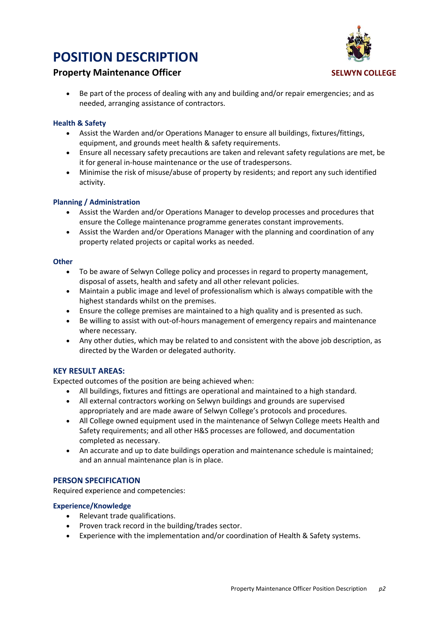

## **Property Maintenance Officer SELWYN COLLEGE**

 Be part of the process of dealing with any and building and/or repair emergencies; and as needed, arranging assistance of contractors.

#### **Health & Safety**

- Assist the Warden and/or Operations Manager to ensure all buildings, fixtures/fittings, equipment, and grounds meet health & safety requirements.
- Ensure all necessary safety precautions are taken and relevant safety regulations are met, be it for general in-house maintenance or the use of tradespersons.
- Minimise the risk of misuse/abuse of property by residents; and report any such identified activity.

#### **Planning / Administration**

- Assist the Warden and/or Operations Manager to develop processes and procedures that ensure the College maintenance programme generates constant improvements.
- Assist the Warden and/or Operations Manager with the planning and coordination of any property related projects or capital works as needed.

#### **Other**

- To be aware of Selwyn College policy and processes in regard to property management, disposal of assets, health and safety and all other relevant policies.
- Maintain a public image and level of professionalism which is always compatible with the highest standards whilst on the premises.
- Ensure the college premises are maintained to a high quality and is presented as such.
- Be willing to assist with out-of-hours management of emergency repairs and maintenance where necessary.
- Any other duties, which may be related to and consistent with the above job description, as directed by the Warden or delegated authority.

### **KEY RESULT AREAS:**

Expected outcomes of the position are being achieved when:

- All buildings, fixtures and fittings are operational and maintained to a high standard.
- All external contractors working on Selwyn buildings and grounds are supervised appropriately and are made aware of Selwyn College's protocols and procedures.
- All College owned equipment used in the maintenance of Selwyn College meets Health and Safety requirements; and all other H&S processes are followed, and documentation completed as necessary.
- An accurate and up to date buildings operation and maintenance schedule is maintained; and an annual maintenance plan is in place.

### **PERSON SPECIFICATION**

Required experience and competencies:

#### **Experience/Knowledge**

- Relevant trade qualifications.
- Proven track record in the building/trades sector.
- Experience with the implementation and/or coordination of Health & Safety systems.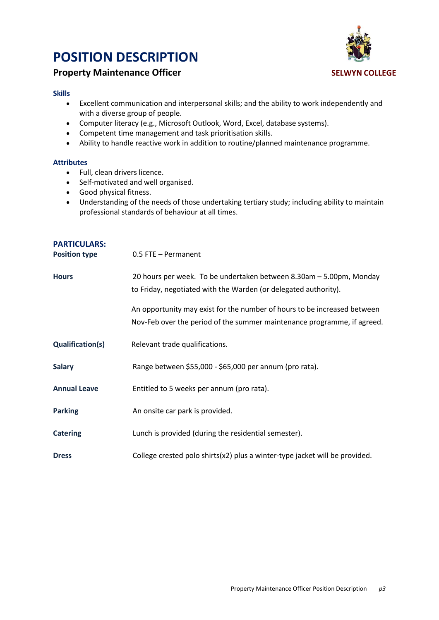

## **Property Maintenance Officer SELWYN COLLEGE**

#### **Skills**

- Excellent communication and interpersonal skills; and the ability to work independently and with a diverse group of people.
- Computer literacy (e.g., Microsoft Outlook, Word, Excel, database systems).
- Competent time management and task prioritisation skills.
- Ability to handle reactive work in addition to routine/planned maintenance programme.

#### **Attributes**

- Full, clean drivers licence.
- Self-motivated and well organised.
- Good physical fitness.
- Understanding of the needs of those undertaking tertiary study; including ability to maintain professional standards of behaviour at all times.

| <b>PARTICULARS:</b><br><b>Position type</b> | 0.5 FTE - Permanent                                                                                                                                 |
|---------------------------------------------|-----------------------------------------------------------------------------------------------------------------------------------------------------|
| <b>Hours</b>                                | 20 hours per week. To be undertaken between 8.30am - 5.00pm, Monday<br>to Friday, negotiated with the Warden (or delegated authority).              |
|                                             | An opportunity may exist for the number of hours to be increased between<br>Nov-Feb over the period of the summer maintenance programme, if agreed. |
| Qualification(s)                            | Relevant trade qualifications.                                                                                                                      |
| <b>Salary</b>                               | Range between \$55,000 - \$65,000 per annum (pro rata).                                                                                             |
| <b>Annual Leave</b>                         | Entitled to 5 weeks per annum (pro rata).                                                                                                           |
| <b>Parking</b>                              | An onsite car park is provided.                                                                                                                     |
| <b>Catering</b>                             | Lunch is provided (during the residential semester).                                                                                                |
| <b>Dress</b>                                | College crested polo shirts(x2) plus a winter-type jacket will be provided.                                                                         |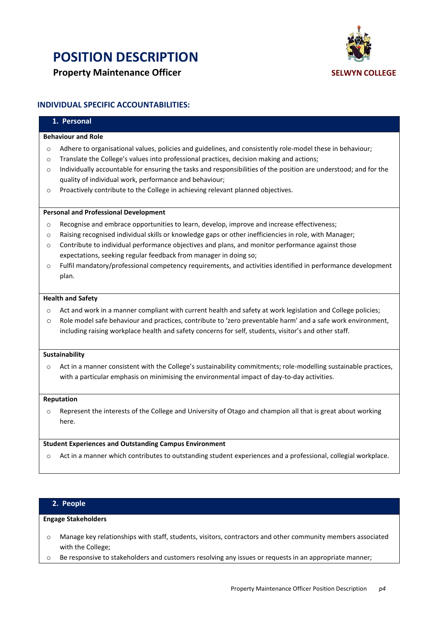



### **INDIVIDUAL SPECIFIC ACCOUNTABILITIES:**

## **1. Personal Behaviour and Role** o Adhere to organisational values, policies and guidelines, and consistently role-model these in behaviour; o Translate the College's values into professional practices, decision making and actions;  $\circ$  Individually accountable for ensuring the tasks and responsibilities of the position are understood; and for the quality of individual work, performance and behaviour; o Proactively contribute to the College in achieving relevant planned objectives. **Personal and Professional Development** o Recognise and embrace opportunities to learn, develop, improve and increase effectiveness; o Raising recognised individual skills or knowledge gaps or other inefficiencies in role, with Manager; o Contribute to individual performance objectives and plans, and monitor performance against those expectations, seeking regular feedback from manager in doing so; o Fulfil mandatory/professional competency requirements, and activities identified in performance development plan. **Health and Safety** o Act and work in a manner compliant with current health and safety at work legislation and College policies; o Role model safe behaviour and practices, contribute to 'zero preventable harm' and a safe work environment, including raising workplace health and safety concerns for self, students, visitor's and other staff. **Sustainability** o Act in a manner consistent with the College's sustainability commitments; role-modelling sustainable practices, with a particular emphasis on minimising the environmental impact of day-to-day activities. **Reputation** o Represent the interests of the College and University of Otago and champion all that is great about working here. **Student Experiences and Outstanding Campus Environment** o Act in a manner which contributes to outstanding student experiences and a professional, collegial workplace.

#### **2. People**

### **Engage Stakeholders**

- o Manage key relationships with staff, students, visitors, contractors and other community members associated with the College;
- o Be responsive to stakeholders and customers resolving any issues or requests in an appropriate manner;